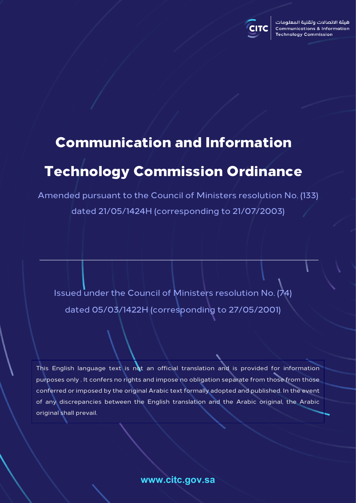

هبئة الاتصالات وتقنية المعلومات **Communications & Information Technology Commission** 

# Communication and Information

# Technology Commission Ordinance

Amended pursuant to the Council of Ministers resolution No. (133) dated 21/05/1424H (corresponding to 21/07/2003)

Issued under the Council of Ministers resolution No. (74) dated 05/03/1422H (corresponding to 27/05/2001)

This English language text is not an official translation and is provided for information purposes only . It confers no rights and impose no obligation separate from those from those conferred or imposed by the original Arabic text formally adopted and published. In the event of any discrepancies between the English translation and the Arabic original, the Arabic original shall prevail.

**www.citc.gov.sa**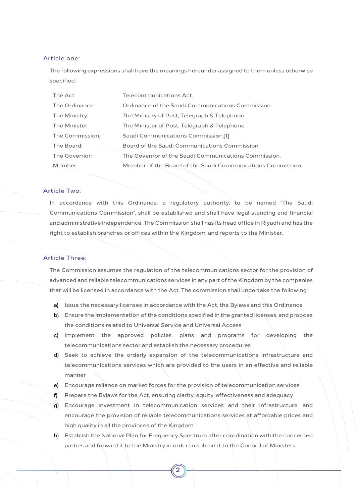#### Article one:

The following expressions shall have the meanings hereunder assigned to them unless otherwise specified:

| The Act         | Telecommunications Act.                                     |
|-----------------|-------------------------------------------------------------|
| The Ordinance:  | Ordinance of the Saudi Communications Commission.           |
| The Ministry:   | The Ministry of Post, Telegraph & Telephone.                |
| The Minister:   | The Minister of Post, Telegraph & Telephone.                |
| The Commission: | Saudi Communications Commission.[1]                         |
| The Board:      | Board of the Saudi Communications Commission.               |
| The Governor:   | The Governor of the Saudi Communications Commission.        |
| Member:         | Member of the Board of the Saudi Communications Commission. |

# Article Two:

In accordance with this Ordinance, a regulatory authority, to be named "The Saudi Communications Commission", shall be established and shall have legal standing and financial and administrative independence. The Commission shall has its head office in Riyadh and has the right to establish branches or offices within the Kingdom, and reports to the Minister.

## Article Three:

The Commission assumes the regulation of the telecommunications sector for the provision of advanced and reliable telecommunications services in any part of the Kingdom by the companies that will be licensed in accordance with the Act. The commission shall undertake the following:

- a) Issue the necessary licenses in accordance with the Act, the Bylaws and this Ordinance
- b) Ensure the implementation of the conditions specified in the granted licenses, and propose the conditions related to Universal Service and Universal Access
- c) Implement the approved policies, plans and programs for developing the telecommunications sector and establish the necessary procedures
- d) Seek to achieve the orderly expansion of the telecommunications infrastructure and telecommunications services which are provided to the users in an effective and reliable manner
- e) Encourage reliance on market forces for the provision of telecommunication services
- f) Prepare the Bylaws for the Act, ensuring clarity, equity, effectiveness and adequacy
- g) Encourage investment in telecommunication services and their infrastructure, and encourage the provision of reliable telecommunications services at affordable prices and high quality in all the provinces of the Kingdom
- h) Establish the National Plan for Frequency Spectrum after coordination with the concerned parties and forward it to the Ministry in order to submit it to the Council of Ministers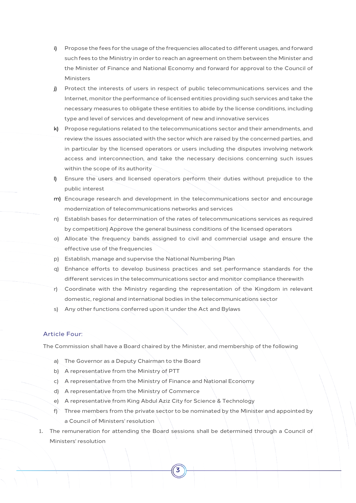- i) Propose the fees for the usage of the frequencies allocated to different usages, and forward such fees to the Ministry in order to reach an agreement on them between the Minister and the Minister of Finance and National Economy and forward for approval to the Council of Ministers
- j) Protect the interests of users in respect of public telecommunications services and the Internet, monitor the performance of licensed entities providing such services and take the necessary measures to obligate these entities to abide by the license conditions, including type and level of services and development of new and innovative services
- k) Propose regulations related to the telecommunications sector and their amendments, and review the issues associated with the sector which are raised by the concerned parties, and in particular by the licensed operators or users including the disputes involving network access and interconnection, and take the necessary decisions concerning such issues within the scope of its authority
- l) Ensure the users and licensed operators perform their duties without prejudice to the public interest
- m) Encourage research and development in the telecommunications sector and encourage modernization of telecommunications networks and services
- n) Establish bases for determination of the rates of telecommunications services as required by competition) Approve the general business conditions of the licensed operators
- o) Allocate the frequency bands assigned to civil and commercial usage and ensure the effective use of the frequencies
- p) Establish, manage and supervise the National Numbering Plan
- q) Enhance efforts to develop business practices and set performance standards for the different services in the telecommunications sector and monitor compliance therewith
- r) Coordinate with the Ministry regarding the representation of the Kingdom in relevant domestic, regional and international bodies in the telecommunications sector
- s) Any other functions conferred upon it under the Act and Bylaws

# Article Four:

The Commission shall have a Board chaired by the Minister, and membership of the following

- a) The Governor as a Deputy Chairman to the Board
- b) A representative from the Ministry of PTT
- c) A representative from the Ministry of Finance and National Economy
- d) A representative from the Ministry of Commerce
- e) A representative from King Abdul Aziz City for Science & Technology
- f) Three members from the private sector to be nominated by the Minister and appointed by a Council of Ministers' resolution
- 1. The remuneration for attending the Board sessions shall be determined through a Council of Ministers' resolution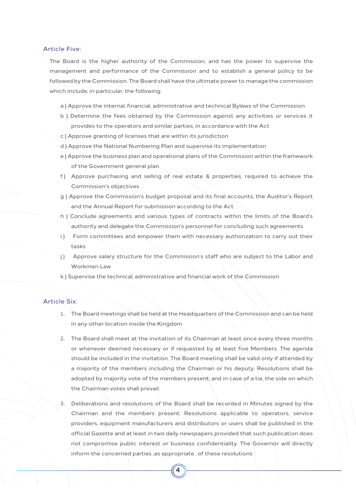## Article Five:

The Board is the higher authority of the Commission, and has the power to supervise the management and performance of the Commission and to establish a general policy to be followed by the Commission. The Board shall have the ultimate power to manage the commission which include, in particular, the following:

- a ) Approve the internal, financial, administrative and technical Bylaws of the Commission
- b ) Determine the fees obtained by the Commission against any activities or services it provides to the operators and similar parties, in accordance with the Act
- c ) Approve granting of licenses that are within its jurisdiction
- d ) Approve the National Numbering Plan and supervise its implementation
- e ) Approve the business plan and operational plans of the Commission within the framework of the Government general plan
- f ) Approve purchasing and selling of real estate & properties, required to achieve the Commission's objectives
- g ) Approve the Commission's budget proposal and its final accounts, the Auditor's Report and the Annual Report for submission according to the Act
- h ) Conclude agreements and various types of contracts within the limits of the Board's authority and delegate the Commission's personnel for concluding such agreements
- i) Form committees and empower them with necessary authorization to carry out their tasks
- j) Approve salary structure for the Commission's staff who are subject to the Labor and Workmen Law
- k ) Supervise the technical, administrative and financial work of the Commission

# Article Six:

- 1. The Board meetings shall be held at the Headquarters of the Commission and can be held in any other location inside the Kingdom
- 2. The Board shall meet at the invitation of its Chairman at least once every three months or whenever deemed necessary or if requested by at least five Members. The agenda should be included in the invitation. The Board meeting shall be valid only if attended by a majority of the members including the Chairman or his deputy. Resolutions shall be adopted by majority vote of the members present; and in case of a tie, the side on which the Chairman votes shall prevail
- 3. Deliberations and resolutions of the Board shall be recorded in Minutes signed by the Chairman and the members present. Resolutions applicable to operators, service providers, equipment manufacturers and distributors or users shall be published in the official Gazette and at least in two daily newspapers provided that such publication does not compromise public interest or business confidentiality. The Governor will directly inform the concerned parties ,as appropriate , of these resolutions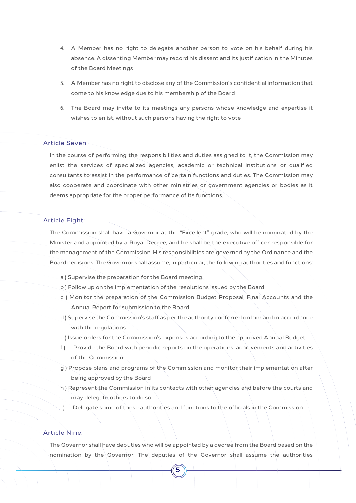- 4. A Member has no right to delegate another person to vote on his behalf during his absence. A dissenting Member may record his dissent and its justification in the Minutes of the Board Meetings
- 5. A Member has no right to disclose any of the Commission's confidential information that come to his knowledge due to his membership of the Board
- 6. The Board may invite to its meetings any persons whose knowledge and expertise it wishes to enlist, without such persons having the right to vote

# Article Seven:

In the course of performing the responsibilities and duties assigned to it, the Commission may enlist the services of specialized agencies, academic or technical institutions or qualified consultants to assist in the performance of certain functions and duties. The Commission may also cooperate and coordinate with other ministries or government agencies or bodies as it deems appropriate for the proper performance of its functions.

# Article Eight:

The Commission shall have a Governor at the "Excellent" grade, who will be nominated by the Minister and appointed by a Royal Decree, and he shall be the executive officer responsible for the management of the Commission. His responsibilities are governed by the Ordinance and the Board decisions. The Governor shall assume, in particular, the following authorities and functions:

- a ) Supervise the preparation for the Board meeting
- b ) Follow up on the implementation of the resolutions issued by the Board
- c ) Monitor the preparation of the Commission Budget Proposal, Final Accounts and the Annual Report for submission to the Board
- d ) Supervise the Commission's staff as per the authority conferred on him and in accordance with the regulations
- e ) Issue orders for the Commission's expenses according to the approved Annual Budget
- f ) Provide the Board with periodic reports on the operations, achievements and activities of the Commission
- g ) Propose plans and programs of the Commission and monitor their implementation after being approved by the Board
- h ) Represent the Commission in its contacts with other agencies and before the courts and may delegate others to do so
- i ) Delegate some of these authorities and functions to the officials in the Commission

# Article Nine:

The Governor shall have deputies who will be appointed by a decree from the Board based on the nomination by the Governor. The deputies of the Governor shall assume the authorities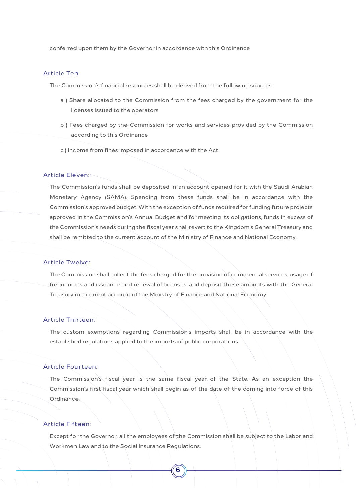conferred upon them by the Governor in accordance with this Ordinance

#### Article Ten:

The Commission's financial resources shall be derived from the following sources:

- a ) Share allocated to the Commission from the fees charged by the government for the licenses issued to the operators
- b ) Fees charged by the Commission for works and services provided by the Commission according to this Ordinance
- c ) Income from fines imposed in accordance with the Act

## Article Eleven:

The Commission's funds shall be deposited in an account opened for it with the Saudi Arabian Monetary Agency (SAMA). Spending from these funds shall be in accordance with the Commission's approved budget. With the exception of funds required for funding future projects approved in the Commission's Annual Budget and for meeting its obligations, funds in excess of the Commission's needs during the fiscal year shall revert to the Kingdom's General Treasury and shall be remitted to the current account of the Ministry of Finance and National Economy.

### Article Twelve:

The Commission shall collect the fees charged for the provision of commercial services, usage of frequencies and issuance and renewal of licenses, and deposit these amounts with the General Treasury in a current account of the Ministry of Finance and National Economy.

## Article Thirteen:

The custom exemptions regarding Commission's imports shall be in accordance with the established regulations applied to the imports of public corporations.

#### Article Fourteen:

The Commission's fiscal year is the same fiscal year of the State. As an exception the Commission's first fiscal year which shall begin as of the date of the coming into force of this Ordinance.

## Article Fifteen:

Except for the Governor, all the employees of the Commission shall be subject to the Labor and Workmen Law and to the Social Insurance Regulations.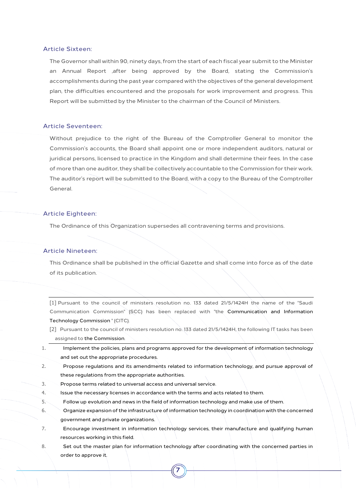## Article Sixteen:

The Governor shall within 90, ninety days, from the start of each fiscal year submit to the Minister an Annual Report ,after being approved by the Board, stating the Commission's accomplishments during the past year compared with the objectives of the general development plan, the difficulties encountered and the proposals for work improvement and progress. This Report will be submitted by the Minister to the chairman of the Council of Ministers.

### Article Seventeen:

Without prejudice to the right of the Bureau of the Comptroller General to monitor the Commission's accounts, the Board shall appoint one or more independent auditors, natural or juridical persons, licensed to practice in the Kingdom and shall determine their fees. In the case of more than one auditor, they shall be collectively accountable to the Commission for their work. The auditor's report will be submitted to the Board, with a copy to the Bureau of the Comptroller General.

#### Article Eighteen:

The Ordinance of this Organization supersedes all contravening terms and provisions.

#### Article Nineteen:

This Ordinance shall be published in the official Gazette and shall come into force as of the date of its publication.

[1] Pursuant to the council of ministers resolution no. 133 dated 21/5/1424H the name of the "Saudi Communication Commission" (SCC) has been replaced with "the Communication and Information Technology Commission " (CITC).

- [2] Pursuant to the council of ministers resolution no. 133 dated 21/5/1424H, the following IT tasks has been assigned to the Commission.
- 1. Implement the policies, plans and programs approved for the development of information technology and set out the appropriate procedures.
- 2. Propose regulations and its amendments related to information technology, and pursue approval of these regulations from the appropriate authorities.
- 3. Propose terms related to universal access and universal service.
- 4. Issue the necessary licenses in accordance with the terms and acts related to them.
- 5. Follow up evolution and news in the field of information technology and make use of them.
- 6. Organize expansion of the infrastructure of information technology in coordination with the concerned government and private organizations.
- 7. Encourage investment in information technology services, their manufacture and qualifying human resources working in this field.
- 8. Set out the master plan for information technology after coordinating with the concerned parties in order to approve it.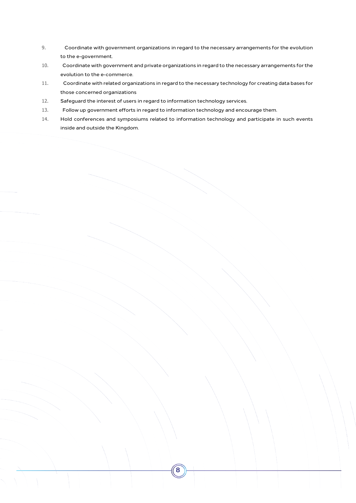- 9. Coordinate with government organizations in regard to the necessary arrangements for the evolution to the e-government.
- 10. Coordinate with government and private organizations in regard to the necessary arrangements for the evolution to the e-commerce.
- 11. Coordinate with related organizations in regard to the necessary technology for creating data bases for those concerned organizations
- 12. Safeguard the interest of users in regard to information technology services.
- 13. Follow up government efforts in regard to information technology and encourage them.
- 14. Hold conferences and symposiums related to information technology and participate in such events inside and outside the Kingdom.